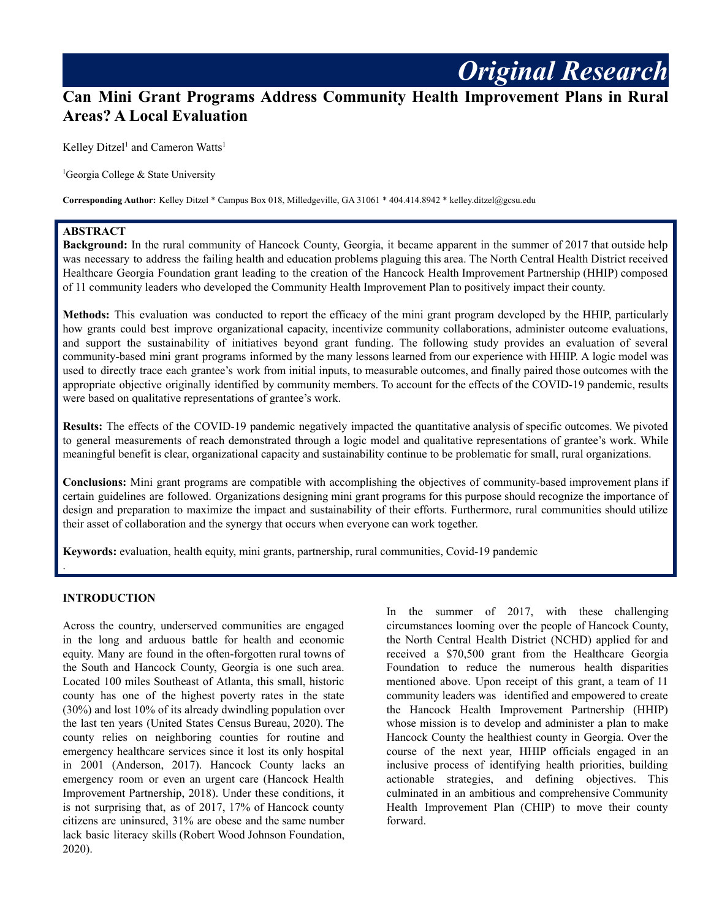# **Can Mini Grant Programs Address Community Health Improvement Plans in Rural Areas? A Local Evaluation**

Kelley Ditzel<sup>1</sup> and Cameron Watts<sup>1</sup>

<sup>1</sup>Georgia College & State University

**Corresponding Author:** Kelley Ditzel \* Campus Box 018, Milledgeville, GA 31061 \* 404.414.8942 \* kelley.ditzel@gcsu.edu

## **ABSTRACT**

**Background:** In the rural community of Hancock County, Georgia, it became apparent in the summer of 2017 that outside help was necessary to address the failing health and education problems plaguing this area. The North Central Health District received Healthcare Georgia Foundation grant leading to the creation of the Hancock Health Improvement Partnership (HHIP) composed of 11 community leaders who developed the Community Health Improvement Plan to positively impact their county.

**Methods:** This evaluation was conducted to report the efficacy of the mini grant program developed by the HHIP, particularly how grants could best improve organizational capacity, incentivize community collaborations, administer outcome evaluations, and support the sustainability of initiatives beyond grant funding. The following study provides an evaluation of several community-based mini grant programs informed by the many lessons learned from our experience with HHIP. A logic model was used to directly trace each grantee's work from initial inputs, to measurable outcomes, and finally paired those outcomes with the appropriate objective originally identified by community members. To account for the effects of the COVID-19 pandemic, results were based on qualitative representations of grantee's work.

**Results:** The effects of the COVID-19 pandemic negatively impacted the quantitative analysis of specific outcomes. We pivoted to general measurements of reach demonstrated through a logic model and qualitative representations of grantee's work. While meaningful benefit is clear, organizational capacity and sustainability continue to be problematic for small, rural organizations.

**Conclusions:** Mini grant programs are compatible with accomplishing the objectives of community-based improvement plans if certain guidelines are followed. Organizations designing mini grant programs for this purpose should recognize the importance of design and preparation to maximize the impact and sustainability of their efforts. Furthermore, rural communities should utilize their asset of collaboration and the synergy that occurs when everyone can work together.

**Keywords:** evaluation, health equity, mini grants, partnership, rural communities, Covid-19 pandemic

#### **INTRODUCTION**

.

Across the country, underserved communities are engaged in the long and arduous battle for health and economic equity. Many are found in the often-forgotten rural towns of the South and Hancock County, Georgia is one such area. Located 100 miles Southeast of Atlanta, this small, historic county has one of the highest poverty rates in the state (30%) and lost 10% of its already dwindling population over the last ten years (United States Census Bureau, 2020). The county relies on neighboring counties for routine and emergency healthcare services since it lost its only hospital in 2001 (Anderson, 2017). Hancock County lacks an emergency room or even an urgent care (Hancock Health Improvement Partnership, 2018). Under these conditions, it is not surprising that, as of 2017, 17% of Hancock county citizens are uninsured, 31% are obese and the same number lack basic literacy skills (Robert Wood Johnson Foundation, 2020).

In the summer of 2017, with these challenging circumstances looming over the people of Hancock County, the North Central Health District (NCHD) applied for and received a \$70,500 grant from the Healthcare Georgia Foundation to reduce the numerous health disparities mentioned above. Upon receipt of this grant, a team of 11 community leaders was identified and empowered to create the Hancock Health Improvement Partnership (HHIP) whose mission is to develop and administer a plan to make Hancock County the healthiest county in Georgia. Over the course of the next year, HHIP officials engaged in an inclusive process of identifying health priorities, building actionable strategies, and defining objectives. This culminated in an ambitious and comprehensive Community Health Improvement Plan (CHIP) to move their county forward.

*Original Research*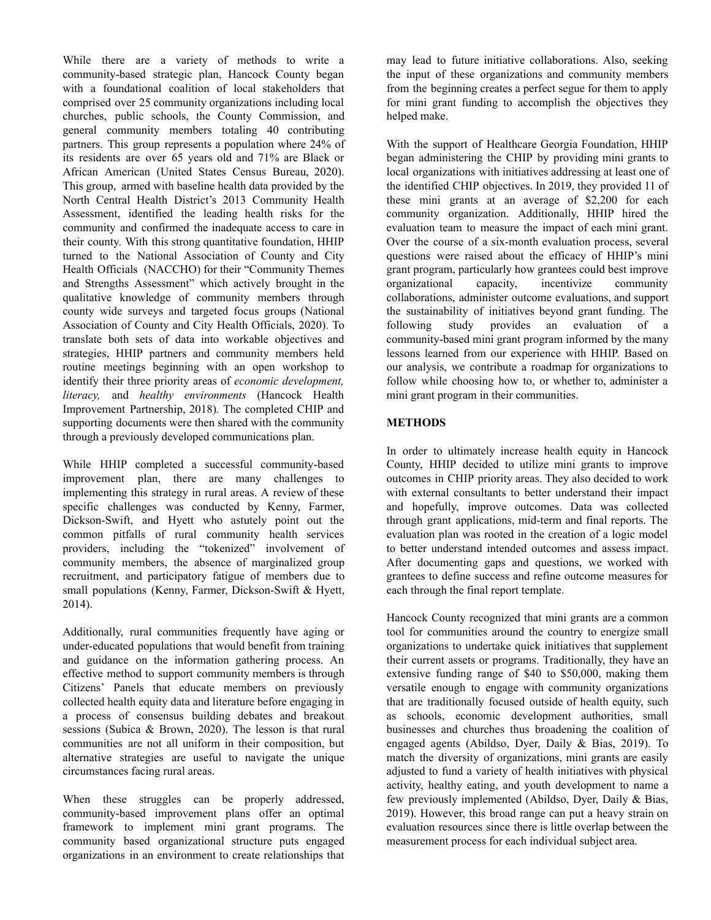While there are a variety of methods to write a community-based strategic plan, Hancock County began with a foundational coalition of local stakeholders that comprised over 25 community organizations including local churches, public schools, the County Commission, and general community members totaling 40 contributing partners. This group represents a population where 24% of its residents are over 65 years old and 71% are Black or African American (United States Census Bureau, 2020). This group, armed with baseline health data provided by the North Central Health District's 2013 Community Health Assessment, identified the leading health risks for the community and confirmed the inadequate access to care in their county. With this strong quantitative foundation, HHIP turned to the National Association of County and City Health Officials (NACCHO) for their "Community Themes and Strengths Assessment" which actively brought in the qualitative knowledge of community members through county wide surveys and targeted focus groups (National Association of County and City Health Officials, 2020). To translate both sets of data into workable objectives and strategies, HHIP partners and community members held routine meetings beginning with an open workshop to identify their three priority areas of *economic development, literacy,* and *healthy environments* (Hancock Health Improvement Partnership, 2018)*.* The completed CHIP and supporting documents were then shared with the community through a previously developed communications plan.

While HHIP completed a successful community-based improvement plan, there are many challenges to implementing this strategy in rural areas. A review of these specific challenges was conducted by Kenny, Farmer, Dickson-Swift, and Hyett who astutely point out the common pitfalls of rural community health services providers, including the "tokenized" involvement of community members, the absence of marginalized group recruitment, and participatory fatigue of members due to small populations (Kenny, Farmer, Dickson-Swift & Hyett, 2014).

Additionally, rural communities frequently have aging or under-educated populations that would benefit from training and guidance on the information gathering process. An effective method to support community members is through Citizens' Panels that educate members on previously collected health equity data and literature before engaging in a process of consensus building debates and breakout sessions (Subica & Brown, 2020). The lesson is that rural communities are not all uniform in their composition, but alternative strategies are useful to navigate the unique circumstances facing rural areas.

When these struggles can be properly addressed, community-based improvement plans offer an optimal framework to implement mini grant programs. The community based organizational structure puts engaged organizations in an environment to create relationships that may lead to future initiative collaborations. Also, seeking the input of these organizations and community members from the beginning creates a perfect segue for them to apply for mini grant funding to accomplish the objectives they helped make.

With the support of Healthcare Georgia Foundation, HHIP began administering the CHIP by providing mini grants to local organizations with initiatives addressing at least one of the identified CHIP objectives. In 2019, they provided 11 of these mini grants at an average of \$2,200 for each community organization. Additionally, HHIP hired the evaluation team to measure the impact of each mini grant. Over the course of a six-month evaluation process, several questions were raised about the efficacy of HHIP's mini grant program, particularly how grantees could best improve organizational capacity, incentivize community collaborations, administer outcome evaluations, and support the sustainability of initiatives beyond grant funding. The following study provides an evaluation of a community-based mini grant program informed by the many lessons learned from our experience with HHIP. Based on our analysis, we contribute a roadmap for organizations to follow while choosing how to, or whether to, administer a mini grant program in their communities.

#### **METHODS**

In order to ultimately increase health equity in Hancock County, HHIP decided to utilize mini grants to improve outcomes in CHIP priority areas. They also decided to work with external consultants to better understand their impact and hopefully, improve outcomes. Data was collected through grant applications, mid-term and final reports. The evaluation plan was rooted in the creation of a logic model to better understand intended outcomes and assess impact. After documenting gaps and questions, we worked with grantees to define success and refine outcome measures for each through the final report template.

Hancock County recognized that mini grants are a common tool for communities around the country to energize small organizations to undertake quick initiatives that supplement their current assets or programs. Traditionally, they have an extensive funding range of \$40 to \$50,000, making them versatile enough to engage with community organizations that are traditionally focused outside of health equity, such as schools, economic development authorities, small businesses and churches thus broadening the coalition of engaged agents (Abildso, Dyer, Daily & Bias, 2019). To match the diversity of organizations, mini grants are easily adjusted to fund a variety of health initiatives with physical activity, healthy eating, and youth development to name a few previously implemented (Abildso, Dyer, Daily & Bias, 2019). However, this broad range can put a heavy strain on evaluation resources since there is little overlap between the measurement process for each individual subject area.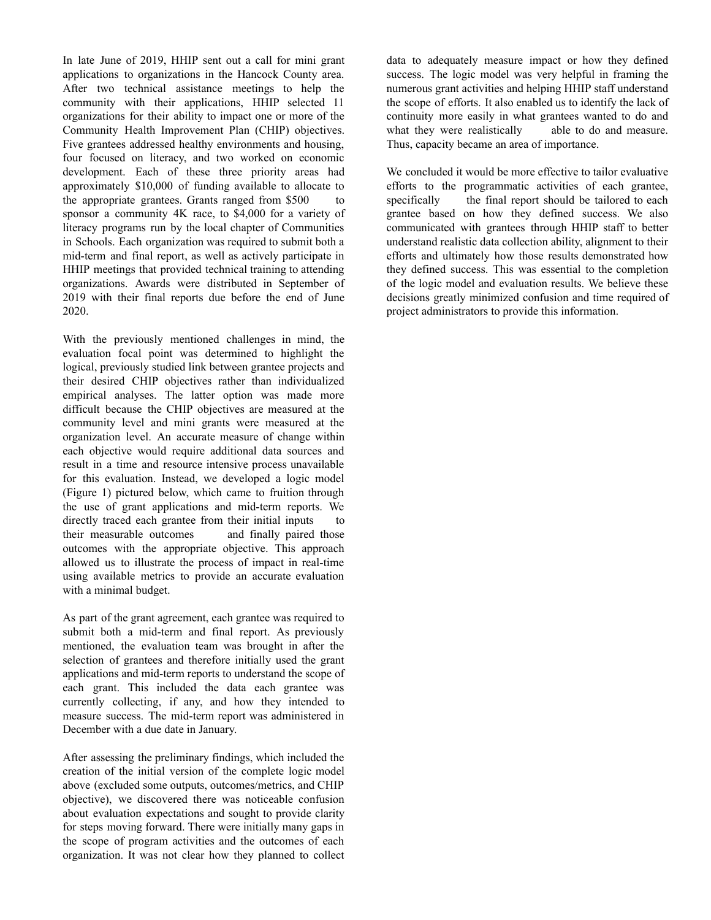In late June of 2019, HHIP sent out a call for mini grant applications to organizations in the Hancock County area. After two technical assistance meetings to help the community with their applications, HHIP selected 11 organizations for their ability to impact one or more of the Community Health Improvement Plan (CHIP) objectives. Five grantees addressed healthy environments and housing, four focused on literacy, and two worked on economic development. Each of these three priority areas had approximately \$10,000 of funding available to allocate to the appropriate grantees. Grants ranged from \$500 to sponsor a community 4K race, to \$4,000 for a variety of literacy programs run by the local chapter of Communities in Schools. Each organization was required to submit both a mid-term and final report, as well as actively participate in HHIP meetings that provided technical training to attending organizations. Awards were distributed in September of 2019 with their final reports due before the end of June 2020.

With the previously mentioned challenges in mind, the evaluation focal point was determined to highlight the logical, previously studied link between grantee projects and their desired CHIP objectives rather than individualized empirical analyses. The latter option was made more difficult because the CHIP objectives are measured at the community level and mini grants were measured at the organization level. An accurate measure of change within each objective would require additional data sources and result in a time and resource intensive process unavailable for this evaluation. Instead, we developed a logic model (Figure 1) pictured below, which came to fruition through the use of grant applications and mid-term reports. We directly traced each grantee from their initial inputs to their measurable outcomes and finally paired those outcomes with the appropriate objective. This approach allowed us to illustrate the process of impact in real-time using available metrics to provide an accurate evaluation with a minimal budget.

As part of the grant agreement, each grantee was required to submit both a mid-term and final report. As previously mentioned, the evaluation team was brought in after the selection of grantees and therefore initially used the grant applications and mid-term reports to understand the scope of each grant. This included the data each grantee was currently collecting, if any, and how they intended to measure success. The mid-term report was administered in December with a due date in January.

After assessing the preliminary findings, which included the creation of the initial version of the complete logic model above (excluded some outputs, outcomes/metrics, and CHIP objective), we discovered there was noticeable confusion about evaluation expectations and sought to provide clarity for steps moving forward. There were initially many gaps in the scope of program activities and the outcomes of each organization. It was not clear how they planned to collect

data to adequately measure impact or how they defined success. The logic model was very helpful in framing the numerous grant activities and helping HHIP staff understand the scope of efforts. It also enabled us to identify the lack of continuity more easily in what grantees wanted to do and what they were realistically able to do and measure. Thus, capacity became an area of importance.

We concluded it would be more effective to tailor evaluative efforts to the programmatic activities of each grantee, specifically the final report should be tailored to each grantee based on how they defined success. We also communicated with grantees through HHIP staff to better understand realistic data collection ability, alignment to their efforts and ultimately how those results demonstrated how they defined success. This was essential to the completion of the logic model and evaluation results. We believe these decisions greatly minimized confusion and time required of project administrators to provide this information.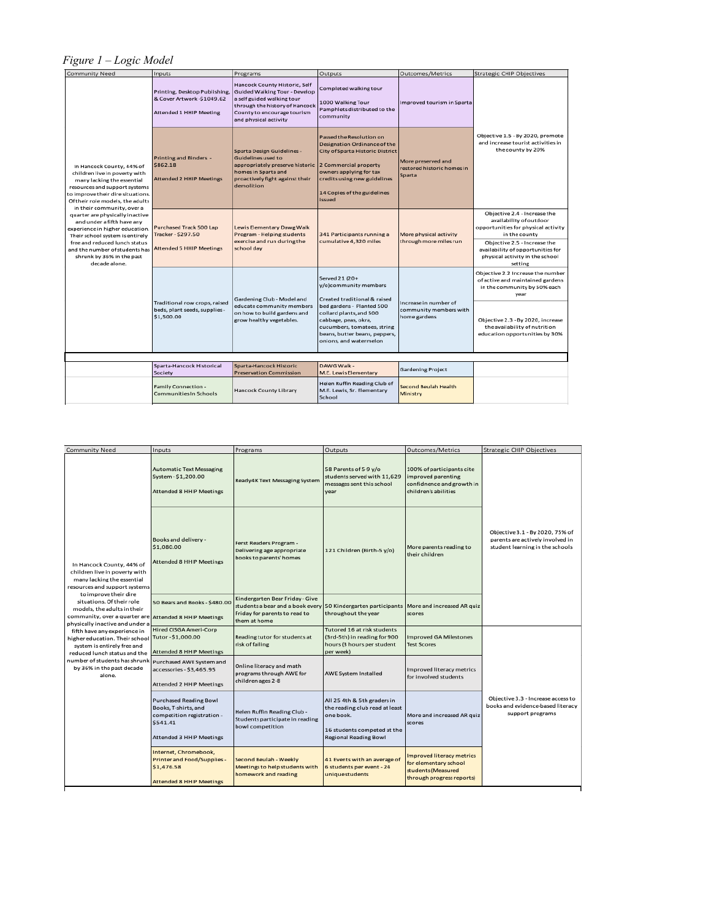# *Figure 1 – Logic Model*

| <b>Community Need</b>                                                                                                                                                                                                                                                                                                                                                                                                                                                                    | Inputs                                                                                  | Programs                                                                                                                                                                               | Outputs                                                                                                                                                                                                                                           | Outcomes/Metrics                                                | Strategic CHIP Objectives                                                                                       |
|------------------------------------------------------------------------------------------------------------------------------------------------------------------------------------------------------------------------------------------------------------------------------------------------------------------------------------------------------------------------------------------------------------------------------------------------------------------------------------------|-----------------------------------------------------------------------------------------|----------------------------------------------------------------------------------------------------------------------------------------------------------------------------------------|---------------------------------------------------------------------------------------------------------------------------------------------------------------------------------------------------------------------------------------------------|-----------------------------------------------------------------|-----------------------------------------------------------------------------------------------------------------|
| In Hancock County, 44% of<br>children live in poverty with<br>many lacking the essential<br>resources and support systems<br>to improve their dire situations.<br>Of their role models, the adults<br>in their community, over a<br>quarter are physically inactive<br>and under a fifth have any<br>experience in higher education.<br>Their school system is entirely<br>free and reduced lunch status<br>and the number of students has<br>shrunk by 36% in the past<br>decade alone. | Printing, Desktop Publishing,<br>& Cover Artwork -\$1049.62<br>Attended 1 HHIP Meeting  | Hancock County Historic, Self<br>Guided Walking Tour - Develop<br>a self guided walking tour<br>through the history of Hancock<br>County to encourage tourism<br>and physical activity | Completed walking tour<br>1000 Walking Tour<br>Pamphlets distributed to the<br>community                                                                                                                                                          | Improved tourism in Sparta                                      | Objective 1.5 - By 2020, promote<br>and increase tourist activities in<br>the county by 20%                     |
|                                                                                                                                                                                                                                                                                                                                                                                                                                                                                          | Printing and Binders -<br>\$862.18<br><b>Attended 2 HHIP Meetings</b>                   | Sparta Design Guidelines -<br>Guidelines used to<br>appropriately preserve historic<br>homes in Sparta and<br>proactively fight against their<br>demolition                            | Passed the Resolution on<br>Designation Ordinance of the<br>City of Sparta Historic District<br>2 Commercial property<br>owners applying for tax<br>credits using new guidelines<br>14 Copies of the guidelines<br>issued                         | More preserved and<br>restored historic homes in<br>Sparta      |                                                                                                                 |
|                                                                                                                                                                                                                                                                                                                                                                                                                                                                                          | <b>Purchased Track 500 Lap</b><br>Tracker - \$297.50<br><b>Attended 5 HHIP Meetings</b> | Lewis Elementary Dawg Walk<br>Program - Helping students<br>exercise and run during the<br>school day                                                                                  | 341 Participants running a<br>cumulative 4,320 miles                                                                                                                                                                                              | More physical activity<br>through more miles run                | Objective 2.4 - Increase the<br>availability of outdoor<br>opportunities for physical activity<br>in the county |
|                                                                                                                                                                                                                                                                                                                                                                                                                                                                                          |                                                                                         |                                                                                                                                                                                        |                                                                                                                                                                                                                                                   |                                                                 | Objective 2.5 - Increase the<br>availability of opportunities for<br>physical activity in the school<br>setting |
|                                                                                                                                                                                                                                                                                                                                                                                                                                                                                          | Traditional row crops, raised<br>beds, plant seeds, supplies -<br>\$1,500.00            | Gardening Club - Model and<br>educate community members<br>on how to build gardens and<br>grow healthy vegetables.                                                                     | Served 21 (20+<br>y/o)community members<br>Created traditional & raised<br>bed gardens - Planted 500<br>collard plants, and 500<br>cabbage, peas, okra,<br>cucumbers, tomatoes, string<br>beans, butter beans, peppers,<br>onions, and watermelon | Increase in number of<br>community members with<br>home gardens | Objective 2.2 Increase the number<br>of active and maintained gardens<br>in the community by 50% each<br>year   |
|                                                                                                                                                                                                                                                                                                                                                                                                                                                                                          |                                                                                         |                                                                                                                                                                                        |                                                                                                                                                                                                                                                   |                                                                 | Objective 2.3 - By 2020, increase<br>the availability of nutrition<br>education opportunities by 30%            |
|                                                                                                                                                                                                                                                                                                                                                                                                                                                                                          |                                                                                         |                                                                                                                                                                                        |                                                                                                                                                                                                                                                   |                                                                 |                                                                                                                 |
|                                                                                                                                                                                                                                                                                                                                                                                                                                                                                          | Sparta-Hancock Historical<br>Society                                                    | Sparta-Hancock Historic<br><b>Preservation Commission</b>                                                                                                                              | DAWG Walk -<br>M.E. Lewis Elementary                                                                                                                                                                                                              | <b>Gardening Project</b>                                        |                                                                                                                 |
|                                                                                                                                                                                                                                                                                                                                                                                                                                                                                          | Family Connection -<br><b>Communities In Schools</b>                                    | Hancock County Library                                                                                                                                                                 | Helen Ruffin Reading Club of<br>M.E. Lewis, Sr. Elementary<br>School                                                                                                                                                                              | <b>Second Beulah Health</b><br>Ministry                         |                                                                                                                 |

| Community Need                                                                                                                                                                                                                                                                                                                                                                                                                                                                                                                          | Inputs                                                                                                                      | Programs                                                                                                             | Outputs                                                                                                                                   | Outcomes/Metrics                                                                                             | <b>Strategic CHIP Objectives</b>                                                                       |
|-----------------------------------------------------------------------------------------------------------------------------------------------------------------------------------------------------------------------------------------------------------------------------------------------------------------------------------------------------------------------------------------------------------------------------------------------------------------------------------------------------------------------------------------|-----------------------------------------------------------------------------------------------------------------------------|----------------------------------------------------------------------------------------------------------------------|-------------------------------------------------------------------------------------------------------------------------------------------|--------------------------------------------------------------------------------------------------------------|--------------------------------------------------------------------------------------------------------|
| In Hancock County, 44% of<br>children live in poverty with<br>many lacking the essential<br>resources and support systems<br>to improve their dire<br>situations. Of their role<br>models, the adults in their<br>community, over a quarter are Attended 8 HHIP Meetings<br>physically inactive and under a<br>fifth have any experience in<br>higher education. Their school Tutor - \$1,000.00<br>system is entirely free and<br>reduced lunch status and the<br>number of students has shrunk<br>by 36% in the past decade<br>alone. | <b>Automatic Text Messaging</b><br>System - \$1,200.00<br>Attended 8 HHIP Meetings                                          | Ready4K Text Messaging System                                                                                        | 58 Parents of 5-9 v/o<br>students served with 11,629<br>messages sent this school<br>year                                                 | 100% of participants cite<br>improved parenting<br>confidnence and growth in<br>children's abilities         |                                                                                                        |
|                                                                                                                                                                                                                                                                                                                                                                                                                                                                                                                                         | Books and delivery -<br>\$1,080.00<br><b>Attended 8 HHIP Meetings</b>                                                       | Ferst Readers Program -<br>Delivering age appropriate<br>books to parents' homes                                     | 121 Children (Birth-5 y/o)                                                                                                                | More parents reading to<br>their children                                                                    | Objective 3.1 - By 2020, 75% of<br>parents are actively involved in<br>student learning in the schools |
|                                                                                                                                                                                                                                                                                                                                                                                                                                                                                                                                         | 50 Bears and Books - \$480,00                                                                                               | Kindergarten Bear Friday - Give<br>students a bear and a book every<br>Friday for parents to read to<br>them at home | 50 Kindergarten participants   More and increased AR quiz<br>throughout the year                                                          | scores                                                                                                       |                                                                                                        |
|                                                                                                                                                                                                                                                                                                                                                                                                                                                                                                                                         | Hired CISGA Ameri-Corp<br>Attended 8 HHIP Meetings                                                                          | Reading tutor for students at<br>risk of failing                                                                     | Tutored 16 at risk students<br>(3rd-5th) in reading for 900<br>hours (3 hours per student<br>per week)                                    | <b>Improved GA Milestones</b><br><b>Test Scores</b>                                                          |                                                                                                        |
|                                                                                                                                                                                                                                                                                                                                                                                                                                                                                                                                         | Purchased AWE System and<br>accessories - \$3,465.95<br>Attended 2 HHIP Meetings                                            | Online literacy and math<br>programs through AWE for<br>children ages 2-8                                            | AWE System Installed                                                                                                                      | Improved literacy metrics<br>for involved students                                                           |                                                                                                        |
|                                                                                                                                                                                                                                                                                                                                                                                                                                                                                                                                         | <b>Purchased Reading Bowl</b><br>Books, T-shirts, and<br>competition registration -<br>\$541.41<br>Attended 3 HHIP Meetings | Helen Ruffin Reading Club -<br>Students participate in reading<br>bowl competition                                   | All 25 4th & 5th graders in<br>the reading club read at least<br>one book.<br>16 students competed at the<br><b>Regional Reading Bowl</b> | More and increased AR quiz<br>scores                                                                         | Objective 3.3 - Increase access to<br>books and evidence-based literacy<br>support programs            |
|                                                                                                                                                                                                                                                                                                                                                                                                                                                                                                                                         | Internet, Chromebook,<br>Printer and Food/Supplies -<br>\$1,476.58<br><b>Attended 8 HHIP Meetings</b>                       | Second Beulah - Weekly<br>Meetings to help students with<br>homework and reading                                     | 41 Events with an average of<br>6 students per event - 24<br>unique students                                                              | <b>Improved literacy metrics</b><br>for elementary school<br>students (Measured<br>through progress reports) |                                                                                                        |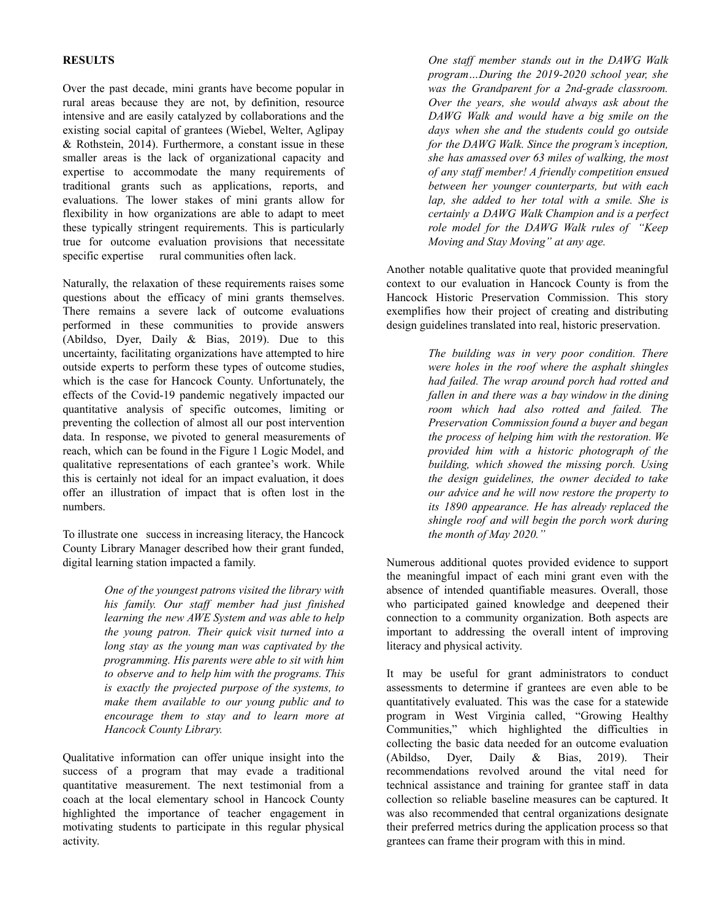## **RESULTS**

Over the past decade, mini grants have become popular in rural areas because they are not, by definition, resource intensive and are easily catalyzed by collaborations and the existing social capital of grantees (Wiebel, Welter, Aglipay & Rothstein, 2014). Furthermore, a constant issue in these smaller areas is the lack of organizational capacity and expertise to accommodate the many requirements of traditional grants such as applications, reports, and evaluations. The lower stakes of mini grants allow for flexibility in how organizations are able to adapt to meet these typically stringent requirements. This is particularly true for outcome evaluation provisions that necessitate specific expertise rural communities often lack.

Naturally, the relaxation of these requirements raises some questions about the efficacy of mini grants themselves. There remains a severe lack of outcome evaluations performed in these communities to provide answers (Abildso, Dyer, Daily & Bias, 2019). Due to this uncertainty, facilitating organizations have attempted to hire outside experts to perform these types of outcome studies, which is the case for Hancock County. Unfortunately, the effects of the Covid-19 pandemic negatively impacted our quantitative analysis of specific outcomes, limiting or preventing the collection of almost all our post intervention data. In response, we pivoted to general measurements of reach, which can be found in the Figure 1 Logic Model, and qualitative representations of each grantee's work. While this is certainly not ideal for an impact evaluation, it does offer an illustration of impact that is often lost in the numbers.

To illustrate one success in increasing literacy, the Hancock County Library Manager described how their grant funded, digital learning station impacted a family.

> *One of the youngest patrons visited the library with his family. Our staf member had just finished learning the new AWE System and was able to help the young patron. Their quick visit turned into a long stay as the young man was captivated by the programming. His parents were able to sit with him to observe and to help him with the programs. This is exactly the projected purpose of the systems, to make them available to our young public and to encourage them to stay and to learn more at Hancock County Library.*

Qualitative information can offer unique insight into the success of a program that may evade a traditional quantitative measurement. The next testimonial from a coach at the local elementary school in Hancock County highlighted the importance of teacher engagement in motivating students to participate in this regular physical activity.

*One staf member stands out in the DAWG Walk program…During the 2019-2020 school year, she was the Grandparent for a 2nd-grade classroom. Over the years, she would always ask about the DAWG Walk and would have a big smile on the days when she and the students could go outside for the DAWG Walk. Since the program's inception, she has amassed over 63 miles of walking, the most of any staf member! A friendly competition ensued between her younger counterparts, but with each lap, she added to her total with a smile. She is certainly a DAWG Walk Champion and is a perfect role model for the DAWG Walk rules of "Keep Moving and Stay Moving" at any age.*

Another notable qualitative quote that provided meaningful context to our evaluation in Hancock County is from the Hancock Historic Preservation Commission. This story exemplifies how their project of creating and distributing design guidelines translated into real, historic preservation.

> *The building was in very poor condition. There were holes in the roof where the asphalt shingles had failed. The wrap around porch had rotted and fallen in and there was a bay window in the dining room which had also rotted and failed. The Preservation Commission found a buyer and began the process of helping him with the restoration. We provided him with a historic photograph of the building, which showed the missing porch. Using the design guidelines, the owner decided to take our advice and he will now restore the property to its 1890 appearance. He has already replaced the shingle roof and will begin the porch work during the month of May 2020."*

Numerous additional quotes provided evidence to support the meaningful impact of each mini grant even with the absence of intended quantifiable measures. Overall, those who participated gained knowledge and deepened their connection to a community organization. Both aspects are important to addressing the overall intent of improving literacy and physical activity.

It may be useful for grant administrators to conduct assessments to determine if grantees are even able to be quantitatively evaluated. This was the case for a statewide program in West Virginia called, "Growing Healthy Communities," which highlighted the difficulties in collecting the basic data needed for an outcome evaluation (Abildso, Dyer, Daily & Bias, 2019). Their recommendations revolved around the vital need for technical assistance and training for grantee staff in data collection so reliable baseline measures can be captured. It was also recommended that central organizations designate their preferred metrics during the application process so that grantees can frame their program with this in mind.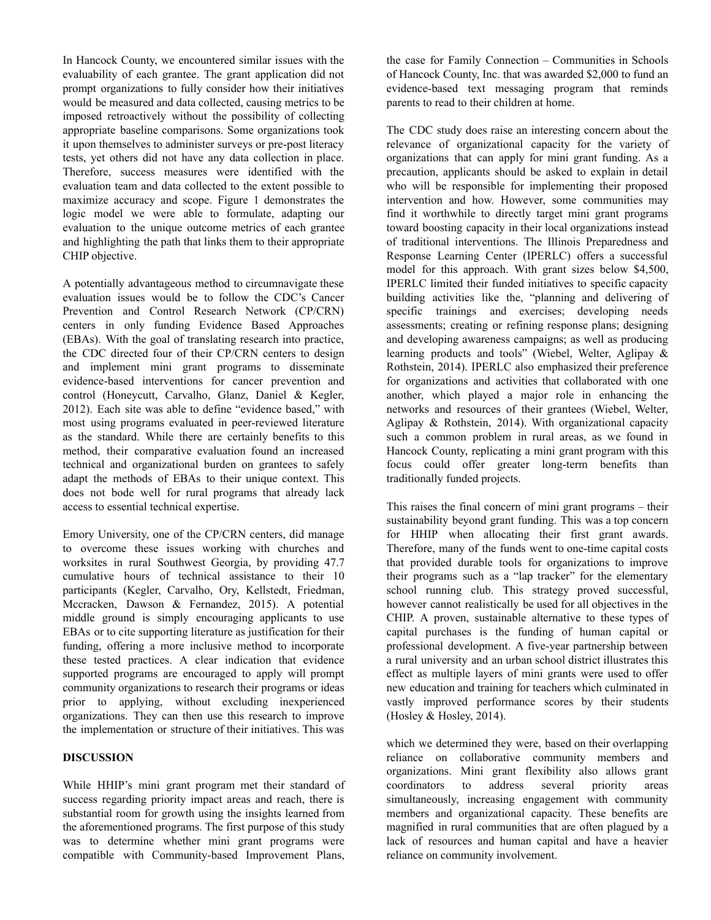In Hancock County, we encountered similar issues with the evaluability of each grantee. The grant application did not prompt organizations to fully consider how their initiatives would be measured and data collected, causing metrics to be imposed retroactively without the possibility of collecting appropriate baseline comparisons. Some organizations took it upon themselves to administer surveys or pre-post literacy tests, yet others did not have any data collection in place. Therefore, success measures were identified with the evaluation team and data collected to the extent possible to maximize accuracy and scope. Figure 1 demonstrates the logic model we were able to formulate, adapting our evaluation to the unique outcome metrics of each grantee and highlighting the path that links them to their appropriate CHIP objective.

A potentially advantageous method to circumnavigate these evaluation issues would be to follow the CDC's Cancer Prevention and Control Research Network (CP/CRN) centers in only funding Evidence Based Approaches (EBAs). With the goal of translating research into practice, the CDC directed four of their CP/CRN centers to design and implement mini grant programs to disseminate evidence-based interventions for cancer prevention and control (Honeycutt, Carvalho, Glanz, Daniel & Kegler, 2012). Each site was able to define "evidence based," with most using programs evaluated in peer-reviewed literature as the standard. While there are certainly benefits to this method, their comparative evaluation found an increased technical and organizational burden on grantees to safely adapt the methods of EBAs to their unique context. This does not bode well for rural programs that already lack access to essential technical expertise.

Emory University, one of the CP/CRN centers, did manage to overcome these issues working with churches and worksites in rural Southwest Georgia, by providing 47.7 cumulative hours of technical assistance to their 10 participants (Kegler, Carvalho, Ory, Kellstedt, Friedman, Mccracken, Dawson & Fernandez, 2015). A potential middle ground is simply encouraging applicants to use EBAs or to cite supporting literature as justification for their funding, offering a more inclusive method to incorporate these tested practices. A clear indication that evidence supported programs are encouraged to apply will prompt community organizations to research their programs or ideas prior to applying, without excluding inexperienced organizations. They can then use this research to improve the implementation or structure of their initiatives. This was

#### **DISCUSSION**

While HHIP's mini grant program met their standard of success regarding priority impact areas and reach, there is substantial room for growth using the insights learned from the aforementioned programs. The first purpose of this study was to determine whether mini grant programs were compatible with Community-based Improvement Plans,

the case for Family Connection – Communities in Schools of Hancock County, Inc. that was awarded \$2,000 to fund an evidence-based text messaging program that reminds parents to read to their children at home.

The CDC study does raise an interesting concern about the relevance of organizational capacity for the variety of organizations that can apply for mini grant funding. As a precaution, applicants should be asked to explain in detail who will be responsible for implementing their proposed intervention and how. However, some communities may find it worthwhile to directly target mini grant programs toward boosting capacity in their local organizations instead of traditional interventions. The Illinois Preparedness and Response Learning Center (IPERLC) offers a successful model for this approach. With grant sizes below \$4,500, IPERLC limited their funded initiatives to specific capacity building activities like the, "planning and delivering of specific trainings and exercises; developing needs assessments; creating or refining response plans; designing and developing awareness campaigns; as well as producing learning products and tools" (Wiebel, Welter, Aglipay & Rothstein, 2014). IPERLC also emphasized their preference for organizations and activities that collaborated with one another, which played a major role in enhancing the networks and resources of their grantees (Wiebel, Welter, Aglipay & Rothstein, 2014). With organizational capacity such a common problem in rural areas, as we found in Hancock County, replicating a mini grant program with this focus could offer greater long-term benefits than traditionally funded projects.

This raises the final concern of mini grant programs – their sustainability beyond grant funding. This was a top concern for HHIP when allocating their first grant awards. Therefore, many of the funds went to one-time capital costs that provided durable tools for organizations to improve their programs such as a "lap tracker" for the elementary school running club. This strategy proved successful, however cannot realistically be used for all objectives in the CHIP. A proven, sustainable alternative to these types of capital purchases is the funding of human capital or professional development. A five-year partnership between a rural university and an urban school district illustrates this effect as multiple layers of mini grants were used to offer new education and training for teachers which culminated in vastly improved performance scores by their students (Hosley & Hosley, 2014).

which we determined they were, based on their overlapping reliance on collaborative community members and organizations. Mini grant flexibility also allows grant coordinators to address several priority areas simultaneously, increasing engagement with community members and organizational capacity. These benefits are magnified in rural communities that are often plagued by a lack of resources and human capital and have a heavier reliance on community involvement.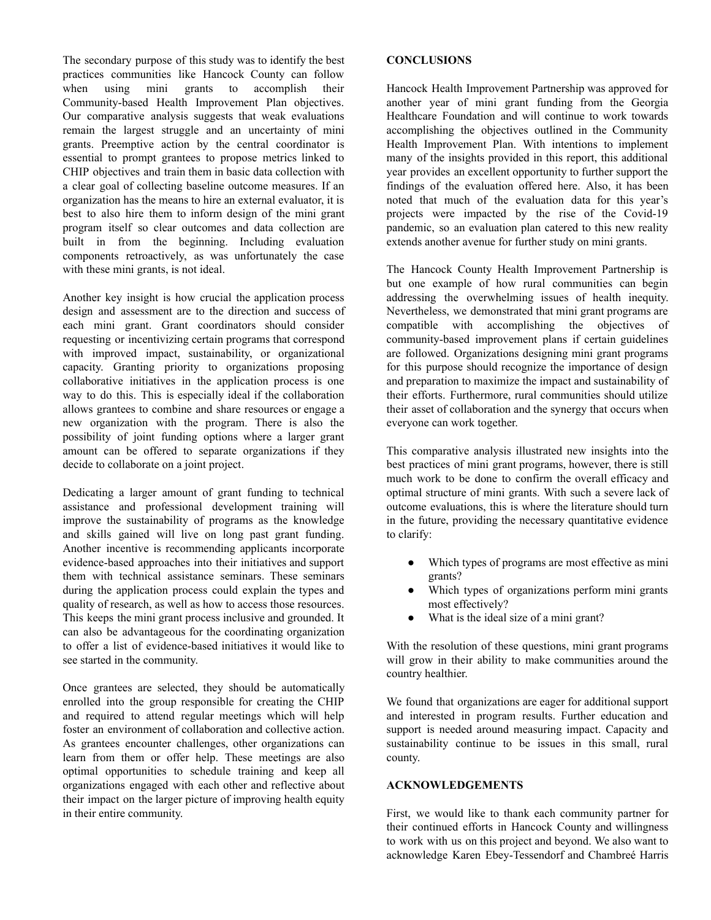The secondary purpose of this study was to identify the best practices communities like Hancock County can follow when using mini grants to accomplish their Community-based Health Improvement Plan objectives. Our comparative analysis suggests that weak evaluations remain the largest struggle and an uncertainty of mini grants. Preemptive action by the central coordinator is essential to prompt grantees to propose metrics linked to CHIP objectives and train them in basic data collection with a clear goal of collecting baseline outcome measures. If an organization has the means to hire an external evaluator, it is best to also hire them to inform design of the mini grant program itself so clear outcomes and data collection are built in from the beginning. Including evaluation components retroactively, as was unfortunately the case with these mini grants, is not ideal.

Another key insight is how crucial the application process design and assessment are to the direction and success of each mini grant. Grant coordinators should consider requesting or incentivizing certain programs that correspond with improved impact, sustainability, or organizational capacity. Granting priority to organizations proposing collaborative initiatives in the application process is one way to do this. This is especially ideal if the collaboration allows grantees to combine and share resources or engage a new organization with the program. There is also the possibility of joint funding options where a larger grant amount can be offered to separate organizations if they decide to collaborate on a joint project.

Dedicating a larger amount of grant funding to technical assistance and professional development training will improve the sustainability of programs as the knowledge and skills gained will live on long past grant funding. Another incentive is recommending applicants incorporate evidence-based approaches into their initiatives and support them with technical assistance seminars. These seminars during the application process could explain the types and quality of research, as well as how to access those resources. This keeps the mini grant process inclusive and grounded. It can also be advantageous for the coordinating organization to offer a list of evidence-based initiatives it would like to see started in the community.

Once grantees are selected, they should be automatically enrolled into the group responsible for creating the CHIP and required to attend regular meetings which will help foster an environment of collaboration and collective action. As grantees encounter challenges, other organizations can learn from them or offer help. These meetings are also optimal opportunities to schedule training and keep all organizations engaged with each other and reflective about their impact on the larger picture of improving health equity in their entire community.

#### **CONCLUSIONS**

Hancock Health Improvement Partnership was approved for another year of mini grant funding from the Georgia Healthcare Foundation and will continue to work towards accomplishing the objectives outlined in the Community Health Improvement Plan. With intentions to implement many of the insights provided in this report, this additional year provides an excellent opportunity to further support the findings of the evaluation offered here. Also, it has been noted that much of the evaluation data for this year's projects were impacted by the rise of the Covid-19 pandemic, so an evaluation plan catered to this new reality extends another avenue for further study on mini grants.

The Hancock County Health Improvement Partnership is but one example of how rural communities can begin addressing the overwhelming issues of health inequity. Nevertheless, we demonstrated that mini grant programs are compatible with accomplishing the objectives of community-based improvement plans if certain guidelines are followed. Organizations designing mini grant programs for this purpose should recognize the importance of design and preparation to maximize the impact and sustainability of their efforts. Furthermore, rural communities should utilize their asset of collaboration and the synergy that occurs when everyone can work together.

This comparative analysis illustrated new insights into the best practices of mini grant programs, however, there is still much work to be done to confirm the overall efficacy and optimal structure of mini grants. With such a severe lack of outcome evaluations, this is where the literature should turn in the future, providing the necessary quantitative evidence to clarify:

- Which types of programs are most effective as mini grants?
- Which types of organizations perform mini grants most effectively?
- What is the ideal size of a mini grant?

With the resolution of these questions, mini grant programs will grow in their ability to make communities around the country healthier.

We found that organizations are eager for additional support and interested in program results. Further education and support is needed around measuring impact. Capacity and sustainability continue to be issues in this small, rural county.

#### **ACKNOWLEDGEMENTS**

First, we would like to thank each community partner for their continued efforts in Hancock County and willingness to work with us on this project and beyond. We also want to acknowledge Karen Ebey-Tessendorf and Chambreé Harris